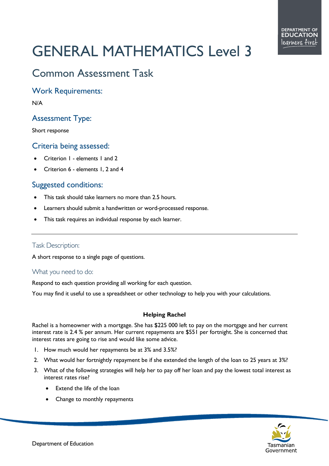# GENERAL MATHEMATICS Level 3

# Common Assessment Task

Work Requirements:

N/A

# Assessment Type:

Short response

### Criteria being assessed:

- Criterion 1 elements 1 and 2
- Criterion 6 elements 1, 2 and 4

## Suggested conditions:

- This task should take learners no more than 2.5 hours.
- Learners should submit a handwritten or word-processed response.
- This task requires an individual response by each learner.

#### Task Description:

A short response to a single page of questions.

#### What you need to do:

Respond to each question providing all working for each question.

You may find it useful to use a spreadsheet or other technology to help you with your calculations.

#### **Helping Rachel**

Rachel is a homeowner with a mortgage. She has \$225 000 left to pay on the mortgage and her current interest rate is 2.4 % per annum. Her current repayments are \$551 per fortnight. She is concerned that interest rates are going to rise and would like some advice.

- 1. How much would her repayments be at 3% and 3.5%?
- 2. What would her fortnightly repayment be if she extended the length of the loan to 25 years at 3%?
- 3. What of the following strategies will help her to pay off her loan and pay the lowest total interest as interest rates rise?
	- Extend the life of the loan
	- Change to monthly repayments